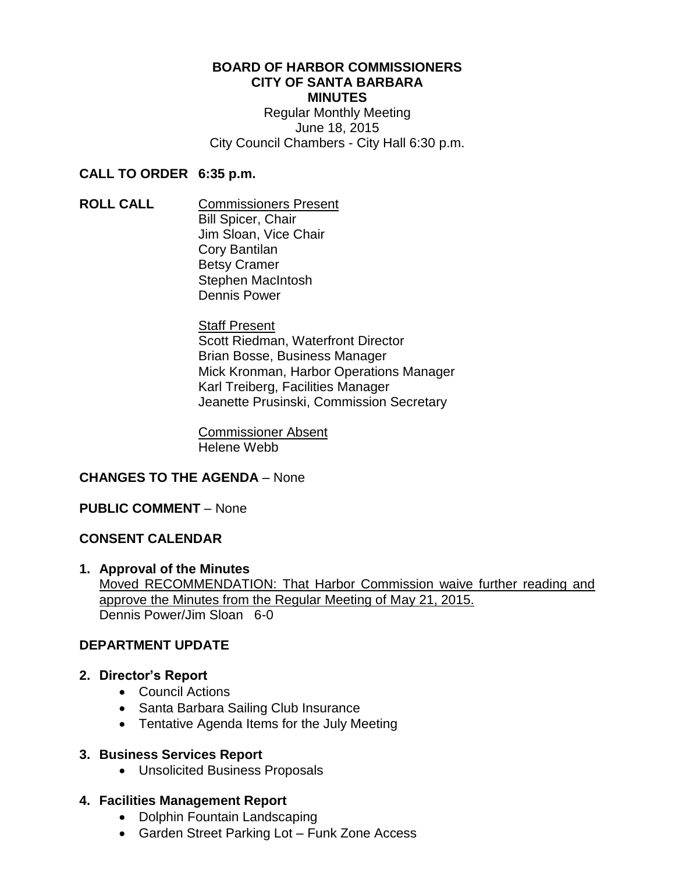#### **BOARD OF HARBOR COMMISSIONERS CITY OF SANTA BARBARA MINUTES** Regular Monthly Meeting

June 18, 2015 City Council Chambers - City Hall 6:30 p.m.

### **CALL TO ORDER 6:35 p.m.**

**ROLL CALL** Commissioners Present Bill Spicer, Chair Jim Sloan, Vice Chair Cory Bantilan Betsy Cramer Stephen MacIntosh Dennis Power

> **Staff Present** Scott Riedman, Waterfront Director Brian Bosse, Business Manager Mick Kronman, Harbor Operations Manager Karl Treiberg, Facilities Manager Jeanette Prusinski, Commission Secretary

Commissioner Absent Helene Webb

# **CHANGES TO THE AGENDA** – None

### **PUBLIC COMMENT** – None

### **CONSENT CALENDAR**

**1. Approval of the Minutes** Moved RECOMMENDATION: That Harbor Commission waive further reading and approve the Minutes from the Regular Meeting of May 21, 2015. Dennis Power/Jim Sloan 6-0

### **DEPARTMENT UPDATE**

- **2. Director's Report**
	- Council Actions
	- Santa Barbara Sailing Club Insurance
	- Tentative Agenda Items for the July Meeting

### **3. Business Services Report**

Unsolicited Business Proposals

# **4. Facilities Management Report**

- Dolphin Fountain Landscaping
- Garden Street Parking Lot Funk Zone Access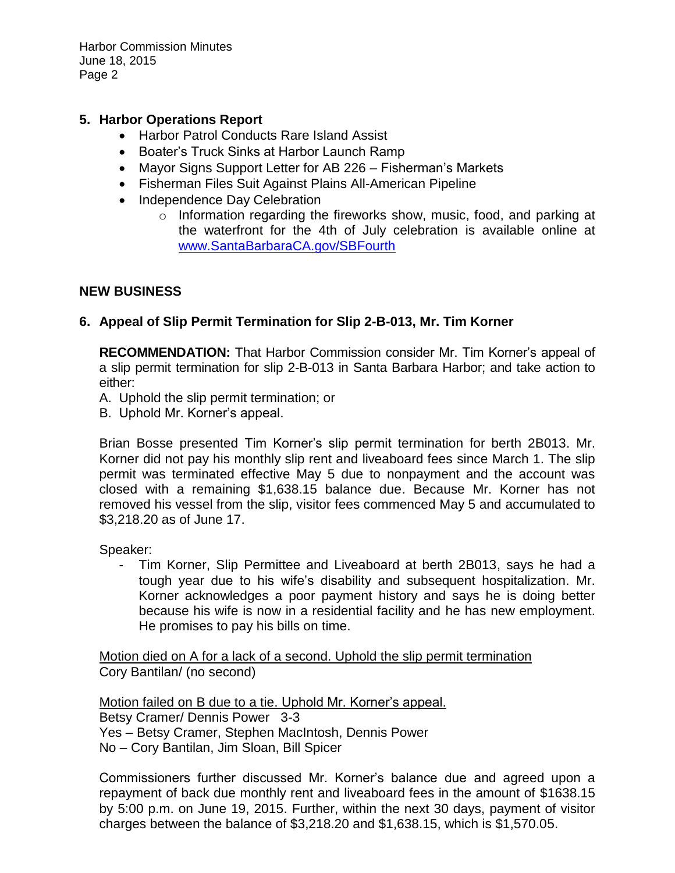Harbor Commission Minutes June 18, 2015 Page 2

## **5. Harbor Operations Report**

- Harbor Patrol Conducts Rare Island Assist
- Boater's Truck Sinks at Harbor Launch Ramp
- Mayor Signs Support Letter for AB 226 Fisherman's Markets
- Fisherman Files Suit Against Plains All-American Pipeline
- Independence Day Celebration
	- o Information regarding the fireworks show, music, food, and parking at the waterfront for the 4th of July celebration is available online at <www.SantaBarbaraCA.gov/SBFourth>

#### **NEW BUSINESS**

### **6. Appeal of Slip Permit Termination for Slip 2-B-013, Mr. Tim Korner**

**RECOMMENDATION:** That Harbor Commission consider Mr. Tim Korner's appeal of a slip permit termination for slip 2-B-013 in Santa Barbara Harbor; and take action to either:

- A. Uphold the slip permit termination; or
- B. Uphold Mr. Korner's appeal.

Brian Bosse presented Tim Korner's slip permit termination for berth 2B013. Mr. Korner did not pay his monthly slip rent and liveaboard fees since March 1. The slip permit was terminated effective May 5 due to nonpayment and the account was closed with a remaining \$1,638.15 balance due. Because Mr. Korner has not removed his vessel from the slip, visitor fees commenced May 5 and accumulated to \$3,218.20 as of June 17.

Speaker:

- Tim Korner, Slip Permittee and Liveaboard at berth 2B013, says he had a tough year due to his wife's disability and subsequent hospitalization. Mr. Korner acknowledges a poor payment history and says he is doing better because his wife is now in a residential facility and he has new employment. He promises to pay his bills on time.

Motion died on A for a lack of a second. Uphold the slip permit termination Cory Bantilan/ (no second)

Motion failed on B due to a tie. Uphold Mr. Korner's appeal. Betsy Cramer/ Dennis Power 3-3 Yes – Betsy Cramer, Stephen MacIntosh, Dennis Power No – Cory Bantilan, Jim Sloan, Bill Spicer

Commissioners further discussed Mr. Korner's balance due and agreed upon a repayment of back due monthly rent and liveaboard fees in the amount of \$1638.15 by 5:00 p.m. on June 19, 2015. Further, within the next 30 days, payment of visitor charges between the balance of \$3,218.20 and \$1,638.15, which is \$1,570.05.